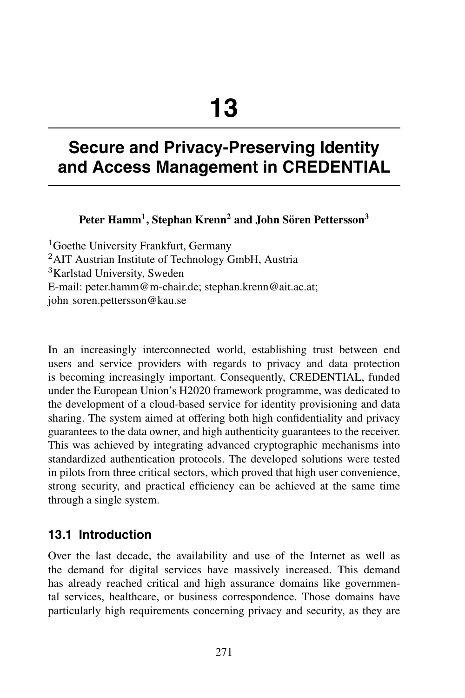# **Secure and Privacy-Preserving Identity and Access Management in CREDENTIAL**

#### **Peter Hamm<sup>1</sup> , Stephan Krenn<sup>2</sup> and John Soren Pettersson ¨ 3**

<sup>1</sup>Goethe University Frankfurt, Germany <sup>2</sup>AIT Austrian Institute of Technology GmbH, Austria <sup>3</sup>Karlstad University, Sweden E-mail: peter.hamm@m-chair.de; stephan.krenn@ait.ac.at; john soren.pettersson@kau.se

In an increasingly interconnected world, establishing trust between end users and service providers with regards to privacy and data protection is becoming increasingly important. Consequently, CREDENTIAL, funded under the European Union's H2020 framework programme, was dedicated to the development of a cloud-based service for identity provisioning and data sharing. The system aimed at offering both high confidentiality and privacy guarantees to the data owner, and high authenticity guarantees to the receiver. This was achieved by integrating advanced cryptographic mechanisms into standardized authentication protocols. The developed solutions were tested in pilots from three critical sectors, which proved that high user convenience, strong security, and practical efficiency can be achieved at the same time through a single system.

#### **13.1 Introduction**

Over the last decade, the availability and use of the Internet as well as the demand for digital services have massively increased. This demand has already reached critical and high assurance domains like governmental services, healthcare, or business correspondence. Those domains have particularly high requirements concerning privacy and security, as they are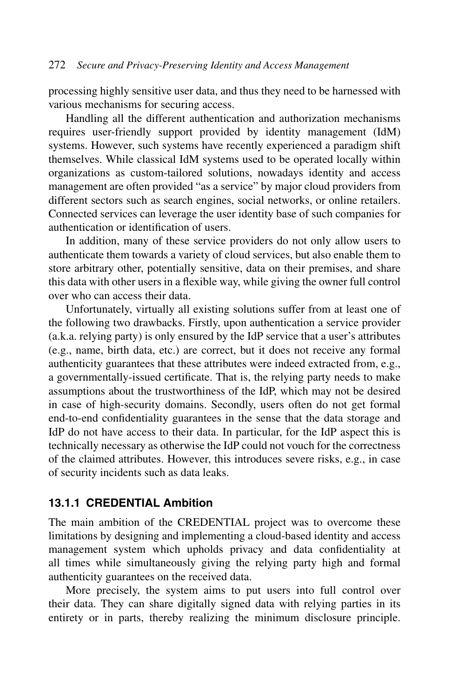#### 272 *Secure and Privacy-Preserving Identity and Access Management*

processing highly sensitive user data, and thus they need to be harnessed with various mechanisms for securing access.

Handling all the different authentication and authorization mechanisms requires user-friendly support provided by identity management (IdM) systems. However, such systems have recently experienced a paradigm shift themselves. While classical IdM systems used to be operated locally within organizations as custom-tailored solutions, nowadays identity and access management are often provided "as a service" by major cloud providers from different sectors such as search engines, social networks, or online retailers. Connected services can leverage the user identity base of such companies for authentication or identification of users.

In addition, many of these service providers do not only allow users to authenticate them towards a variety of cloud services, but also enable them to store arbitrary other, potentially sensitive, data on their premises, and share this data with other users in a flexible way, while giving the owner full control over who can access their data.

Unfortunately, virtually all existing solutions suffer from at least one of the following two drawbacks. Firstly, upon authentication a service provider (a.k.a. relying party) is only ensured by the IdP service that a user's attributes (e.g., name, birth data, etc.) are correct, but it does not receive any formal authenticity guarantees that these attributes were indeed extracted from, e.g., a governmentally-issued certificate. That is, the relying party needs to make assumptions about the trustworthiness of the IdP, which may not be desired in case of high-security domains. Secondly, users often do not get formal end-to-end confidentiality guarantees in the sense that the data storage and IdP do not have access to their data. In particular, for the IdP aspect this is technically necessary as otherwise the IdP could not vouch for the correctness of the claimed attributes. However, this introduces severe risks, e.g., in case of security incidents such as data leaks.

#### **13.1.1 CREDENTIAL Ambition**

The main ambition of the CREDENTIAL project was to overcome these limitations by designing and implementing a cloud-based identity and access management system which upholds privacy and data confidentiality at all times while simultaneously giving the relying party high and formal authenticity guarantees on the received data.

More precisely, the system aims to put users into full control over their data. They can share digitally signed data with relying parties in its entirety or in parts, thereby realizing the minimum disclosure principle.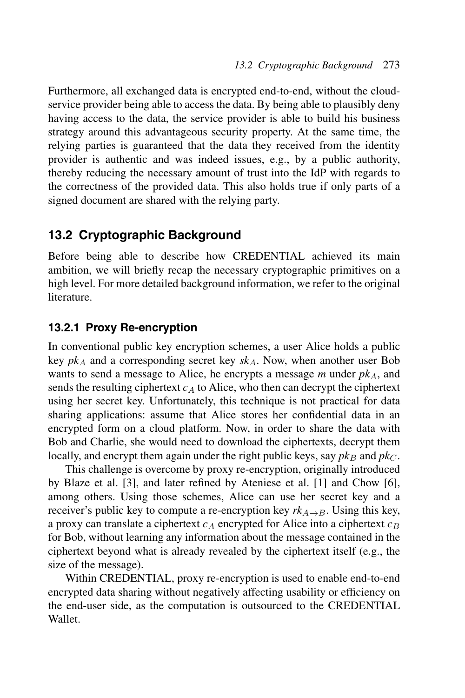Furthermore, all exchanged data is encrypted end-to-end, without the cloudservice provider being able to access the data. By being able to plausibly deny having access to the data, the service provider is able to build his business strategy around this advantageous security property. At the same time, the relying parties is guaranteed that the data they received from the identity provider is authentic and was indeed issues, e.g., by a public authority, thereby reducing the necessary amount of trust into the IdP with regards to the correctness of the provided data. This also holds true if only parts of a signed document are shared with the relying party.

### **13.2 Cryptographic Background**

Before being able to describe how CREDENTIAL achieved its main ambition, we will briefly recap the necessary cryptographic primitives on a high level. For more detailed background information, we refer to the original literature.

#### **13.2.1 Proxy Re-encryption**

In conventional public key encryption schemes, a user Alice holds a public key  $pk_A$  and a corresponding secret key  $sk_A$ . Now, when another user Bob wants to send a message to Alice, he encrypts a message  $m$  under  $pk<sub>A</sub>$ , and sends the resulting ciphertext  $c_A$  to Alice, who then can decrypt the ciphertext using her secret key. Unfortunately, this technique is not practical for data sharing applications: assume that Alice stores her confidential data in an encrypted form on a cloud platform. Now, in order to share the data with Bob and Charlie, she would need to download the ciphertexts, decrypt them locally, and encrypt them again under the right public keys, say  $pk_B$  and  $pk_C$ .

This challenge is overcome by proxy re-encryption, originally introduced by Blaze et al. [3], and later refined by Ateniese et al. [1] and Chow [6], among others. Using those schemes, Alice can use her secret key and a receiver's public key to compute a re-encryption key  $rk_{A\rightarrow B}$ . Using this key, a proxy can translate a ciphertext  $c_A$  encrypted for Alice into a ciphertext  $c_B$ for Bob, without learning any information about the message contained in the ciphertext beyond what is already revealed by the ciphertext itself (e.g., the size of the message).

Within CREDENTIAL, proxy re-encryption is used to enable end-to-end encrypted data sharing without negatively affecting usability or efficiency on the end-user side, as the computation is outsourced to the CREDENTIAL Wallet.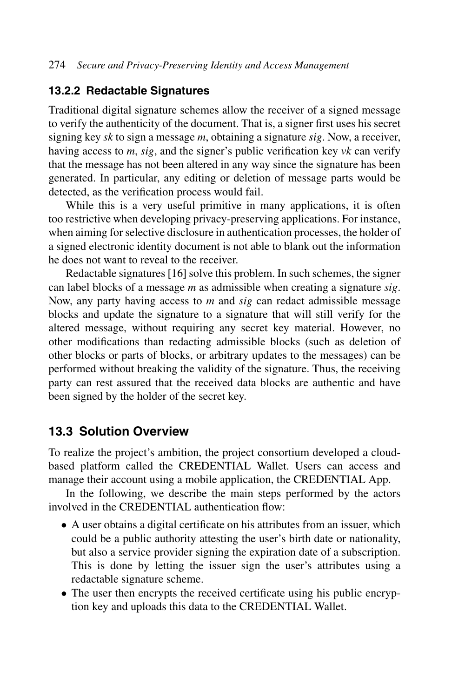#### **13.2.2 Redactable Signatures**

Traditional digital signature schemes allow the receiver of a signed message to verify the authenticity of the document. That is, a signer first uses his secret signing key *sk* to sign a message *m*, obtaining a signature *sig*. Now, a receiver, having access to *m*, *sig*, and the signer's public verification key *vk* can verify that the message has not been altered in any way since the signature has been generated. In particular, any editing or deletion of message parts would be detected, as the verification process would fail.

While this is a very useful primitive in many applications, it is often too restrictive when developing privacy-preserving applications. For instance, when aiming for selective disclosure in authentication processes, the holder of a signed electronic identity document is not able to blank out the information he does not want to reveal to the receiver.

Redactable signatures [16] solve this problem. In such schemes, the signer can label blocks of a message *m* as admissible when creating a signature *sig*. Now, any party having access to *m* and *sig* can redact admissible message blocks and update the signature to a signature that will still verify for the altered message, without requiring any secret key material. However, no other modifications than redacting admissible blocks (such as deletion of other blocks or parts of blocks, or arbitrary updates to the messages) can be performed without breaking the validity of the signature. Thus, the receiving party can rest assured that the received data blocks are authentic and have been signed by the holder of the secret key.

### **13.3 Solution Overview**

To realize the project's ambition, the project consortium developed a cloudbased platform called the CREDENTIAL Wallet. Users can access and manage their account using a mobile application, the CREDENTIAL App.

In the following, we describe the main steps performed by the actors involved in the CREDENTIAL authentication flow:

- A user obtains a digital certificate on his attributes from an issuer, which could be a public authority attesting the user's birth date or nationality, but also a service provider signing the expiration date of a subscription. This is done by letting the issuer sign the user's attributes using a redactable signature scheme.
- The user then encrypts the received certificate using his public encryption key and uploads this data to the CREDENTIAL Wallet.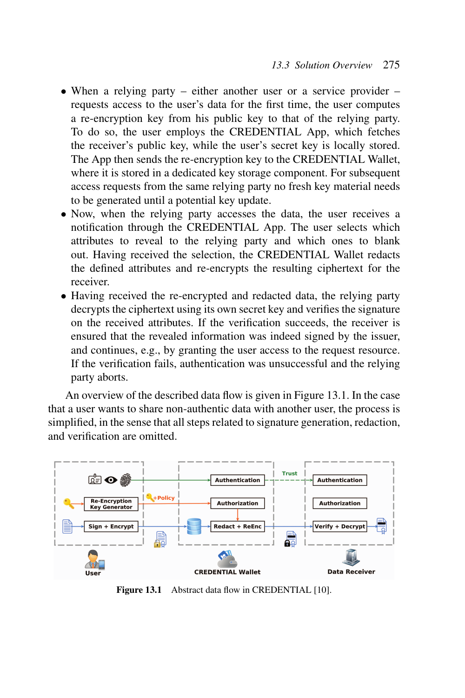- When a relying party either another user or a service provider requests access to the user's data for the first time, the user computes a re-encryption key from his public key to that of the relying party. To do so, the user employs the CREDENTIAL App, which fetches the receiver's public key, while the user's secret key is locally stored. The App then sends the re-encryption key to the CREDENTIAL Wallet, where it is stored in a dedicated key storage component. For subsequent access requests from the same relying party no fresh key material needs to be generated until a potential key update.
- Now, when the relying party accesses the data, the user receives a notification through the CREDENTIAL App. The user selects which attributes to reveal to the relying party and which ones to blank out. Having received the selection, the CREDENTIAL Wallet redacts the defined attributes and re-encrypts the resulting ciphertext for the receiver.
- Having received the re-encrypted and redacted data, the relying party decrypts the ciphertext using its own secret key and verifies the signature on the received attributes. If the verification succeeds, the receiver is ensured that the revealed information was indeed signed by the issuer, and continues, e.g., by granting the user access to the request resource. If the verification fails, authentication was unsuccessful and the relying party aborts.

An overview of the described data flow is given in Figure 13.1. In the case that a user wants to share non-authentic data with another user, the process is simplified, in the sense that all steps related to signature generation, redaction, and verification are omitted.



Figure 13.1 Abstract data flow in CREDENTIAL [10].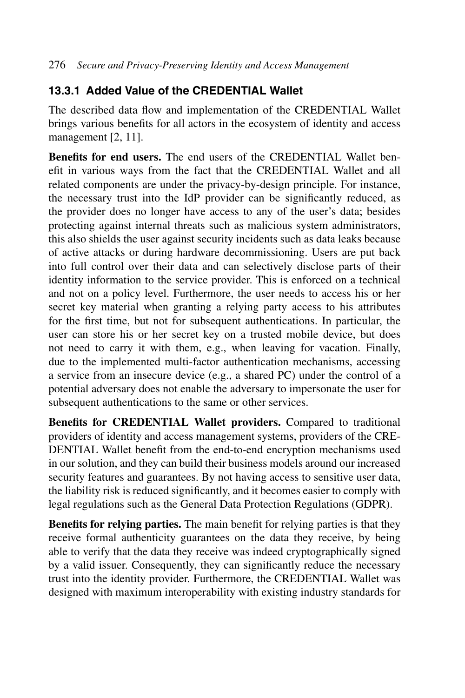#### **13.3.1 Added Value of the CREDENTIAL Wallet**

The described data flow and implementation of the CREDENTIAL Wallet brings various benefits for all actors in the ecosystem of identity and access management [2, 11].

**Benefits for end users.** The end users of the CREDENTIAL Wallet benefit in various ways from the fact that the CREDENTIAL Wallet and all related components are under the privacy-by-design principle. For instance, the necessary trust into the IdP provider can be significantly reduced, as the provider does no longer have access to any of the user's data; besides protecting against internal threats such as malicious system administrators, this also shields the user against security incidents such as data leaks because of active attacks or during hardware decommissioning. Users are put back into full control over their data and can selectively disclose parts of their identity information to the service provider. This is enforced on a technical and not on a policy level. Furthermore, the user needs to access his or her secret key material when granting a relying party access to his attributes for the first time, but not for subsequent authentications. In particular, the user can store his or her secret key on a trusted mobile device, but does not need to carry it with them, e.g., when leaving for vacation. Finally, due to the implemented multi-factor authentication mechanisms, accessing a service from an insecure device (e.g., a shared PC) under the control of a potential adversary does not enable the adversary to impersonate the user for subsequent authentications to the same or other services.

**Benefits for CREDENTIAL Wallet providers.** Compared to traditional providers of identity and access management systems, providers of the CRE-DENTIAL Wallet benefit from the end-to-end encryption mechanisms used in our solution, and they can build their business models around our increased security features and guarantees. By not having access to sensitive user data, the liability risk is reduced significantly, and it becomes easier to comply with legal regulations such as the General Data Protection Regulations (GDPR).

**Benefits for relying parties.** The main benefit for relying parties is that they receive formal authenticity guarantees on the data they receive, by being able to verify that the data they receive was indeed cryptographically signed by a valid issuer. Consequently, they can significantly reduce the necessary trust into the identity provider. Furthermore, the CREDENTIAL Wallet was designed with maximum interoperability with existing industry standards for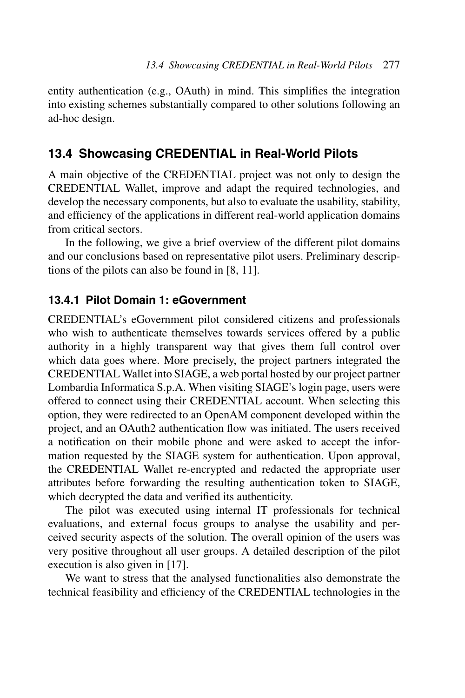entity authentication (e.g., OAuth) in mind. This simplifies the integration into existing schemes substantially compared to other solutions following an ad-hoc design.

#### **13.4 Showcasing CREDENTIAL in Real-World Pilots**

A main objective of the CREDENTIAL project was not only to design the CREDENTIAL Wallet, improve and adapt the required technologies, and develop the necessary components, but also to evaluate the usability, stability, and efficiency of the applications in different real-world application domains from critical sectors.

In the following, we give a brief overview of the different pilot domains and our conclusions based on representative pilot users. Preliminary descriptions of the pilots can also be found in [8, 11].

#### **13.4.1 Pilot Domain 1: eGovernment**

CREDENTIAL's eGovernment pilot considered citizens and professionals who wish to authenticate themselves towards services offered by a public authority in a highly transparent way that gives them full control over which data goes where. More precisely, the project partners integrated the CREDENTIAL Wallet into SIAGE, a web portal hosted by our project partner Lombardia Informatica S.p.A. When visiting SIAGE's login page, users were offered to connect using their CREDENTIAL account. When selecting this option, they were redirected to an OpenAM component developed within the project, and an OAuth2 authentication flow was initiated. The users received a notification on their mobile phone and were asked to accept the information requested by the SIAGE system for authentication. Upon approval, the CREDENTIAL Wallet re-encrypted and redacted the appropriate user attributes before forwarding the resulting authentication token to SIAGE, which decrypted the data and verified its authenticity.

The pilot was executed using internal IT professionals for technical evaluations, and external focus groups to analyse the usability and perceived security aspects of the solution. The overall opinion of the users was very positive throughout all user groups. A detailed description of the pilot execution is also given in [17].

We want to stress that the analysed functionalities also demonstrate the technical feasibility and efficiency of the CREDENTIAL technologies in the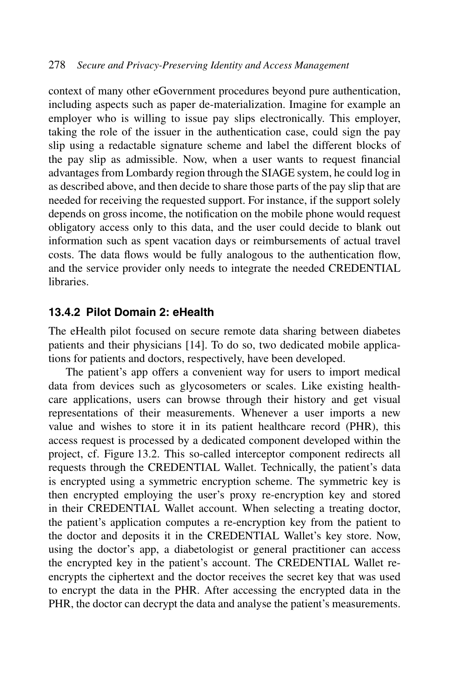context of many other eGovernment procedures beyond pure authentication, including aspects such as paper de-materialization. Imagine for example an employer who is willing to issue pay slips electronically. This employer, taking the role of the issuer in the authentication case, could sign the pay slip using a redactable signature scheme and label the different blocks of the pay slip as admissible. Now, when a user wants to request financial advantages from Lombardy region through the SIAGE system, he could log in as described above, and then decide to share those parts of the pay slip that are needed for receiving the requested support. For instance, if the support solely depends on gross income, the notification on the mobile phone would request obligatory access only to this data, and the user could decide to blank out information such as spent vacation days or reimbursements of actual travel costs. The data flows would be fully analogous to the authentication flow, and the service provider only needs to integrate the needed CREDENTIAL **libraries** 

#### **13.4.2 Pilot Domain 2: eHealth**

The eHealth pilot focused on secure remote data sharing between diabetes patients and their physicians [14]. To do so, two dedicated mobile applications for patients and doctors, respectively, have been developed.

The patient's app offers a convenient way for users to import medical data from devices such as glycosometers or scales. Like existing healthcare applications, users can browse through their history and get visual representations of their measurements. Whenever a user imports a new value and wishes to store it in its patient healthcare record (PHR), this access request is processed by a dedicated component developed within the project, cf. Figure 13.2. This so-called interceptor component redirects all requests through the CREDENTIAL Wallet. Technically, the patient's data is encrypted using a symmetric encryption scheme. The symmetric key is then encrypted employing the user's proxy re-encryption key and stored in their CREDENTIAL Wallet account. When selecting a treating doctor, the patient's application computes a re-encryption key from the patient to the doctor and deposits it in the CREDENTIAL Wallet's key store. Now, using the doctor's app, a diabetologist or general practitioner can access the encrypted key in the patient's account. The CREDENTIAL Wallet reencrypts the ciphertext and the doctor receives the secret key that was used to encrypt the data in the PHR. After accessing the encrypted data in the PHR, the doctor can decrypt the data and analyse the patient's measurements.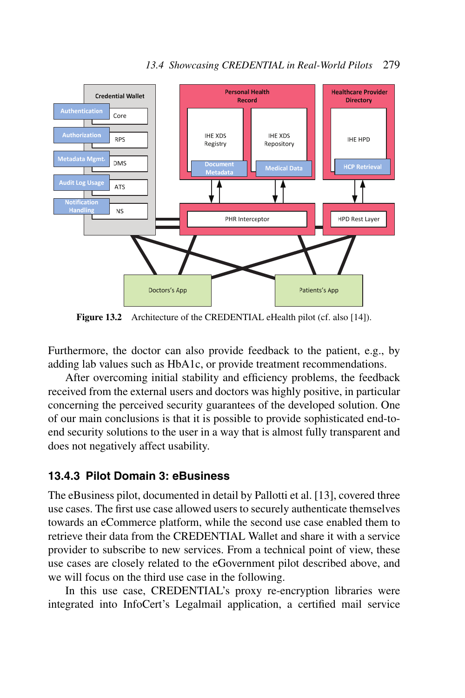



**Figure 13.2** Architecture of the CREDENTIAL eHealth pilot (cf. also [14]).

Furthermore, the doctor can also provide feedback to the patient, e.g., by adding lab values such as HbA1c, or provide treatment recommendations.

After overcoming initial stability and efficiency problems, the feedback received from the external users and doctors was highly positive, in particular concerning the perceived security guarantees of the developed solution. One of our main conclusions is that it is possible to provide sophisticated end-toend security solutions to the user in a way that is almost fully transparent and does not negatively affect usability.

#### **13.4.3 Pilot Domain 3: eBusiness**

The eBusiness pilot, documented in detail by Pallotti et al. [13], covered three use cases. The first use case allowed users to securely authenticate themselves towards an eCommerce platform, while the second use case enabled them to retrieve their data from the CREDENTIAL Wallet and share it with a service provider to subscribe to new services. From a technical point of view, these use cases are closely related to the eGovernment pilot described above, and we will focus on the third use case in the following.

In this use case, CREDENTIAL's proxy re-encryption libraries were integrated into InfoCert's Legalmail application, a certified mail service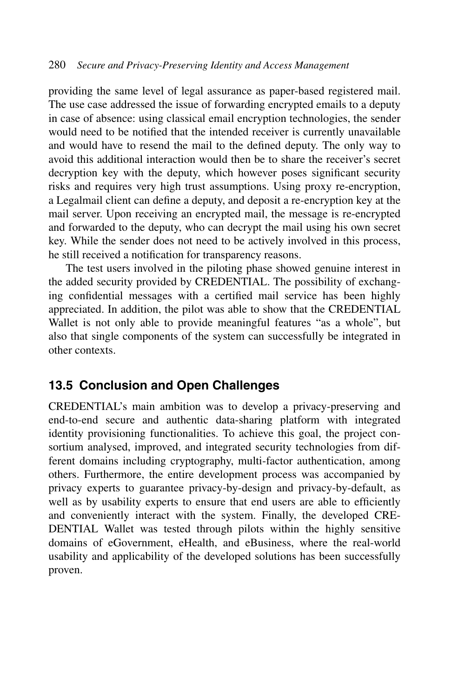providing the same level of legal assurance as paper-based registered mail. The use case addressed the issue of forwarding encrypted emails to a deputy in case of absence: using classical email encryption technologies, the sender would need to be notified that the intended receiver is currently unavailable and would have to resend the mail to the defined deputy. The only way to avoid this additional interaction would then be to share the receiver's secret decryption key with the deputy, which however poses significant security risks and requires very high trust assumptions. Using proxy re-encryption, a Legalmail client can define a deputy, and deposit a re-encryption key at the mail server. Upon receiving an encrypted mail, the message is re-encrypted and forwarded to the deputy, who can decrypt the mail using his own secret key. While the sender does not need to be actively involved in this process, he still received a notification for transparency reasons.

The test users involved in the piloting phase showed genuine interest in the added security provided by CREDENTIAL. The possibility of exchanging confidential messages with a certified mail service has been highly appreciated. In addition, the pilot was able to show that the CREDENTIAL Wallet is not only able to provide meaningful features "as a whole", but also that single components of the system can successfully be integrated in other contexts.

### **13.5 Conclusion and Open Challenges**

CREDENTIAL's main ambition was to develop a privacy-preserving and end-to-end secure and authentic data-sharing platform with integrated identity provisioning functionalities. To achieve this goal, the project consortium analysed, improved, and integrated security technologies from different domains including cryptography, multi-factor authentication, among others. Furthermore, the entire development process was accompanied by privacy experts to guarantee privacy-by-design and privacy-by-default, as well as by usability experts to ensure that end users are able to efficiently and conveniently interact with the system. Finally, the developed CRE-DENTIAL Wallet was tested through pilots within the highly sensitive domains of eGovernment, eHealth, and eBusiness, where the real-world usability and applicability of the developed solutions has been successfully proven.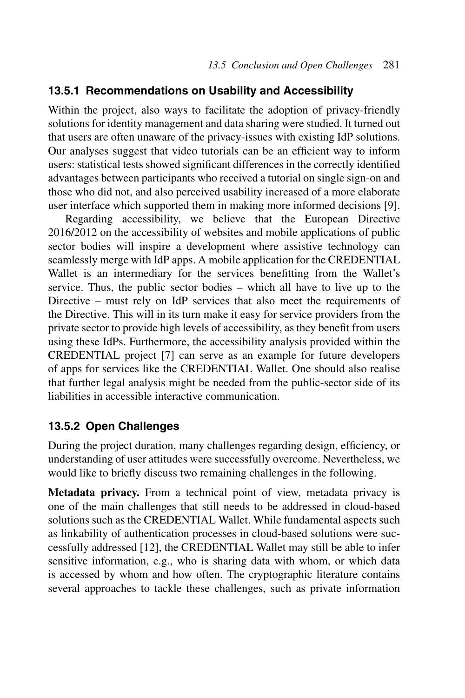#### **13.5.1 Recommendations on Usability and Accessibility**

Within the project, also ways to facilitate the adoption of privacy-friendly solutions for identity management and data sharing were studied. It turned out that users are often unaware of the privacy-issues with existing IdP solutions. Our analyses suggest that video tutorials can be an efficient way to inform users: statistical tests showed significant differences in the correctly identified advantages between participants who received a tutorial on single sign-on and those who did not, and also perceived usability increased of a more elaborate user interface which supported them in making more informed decisions [9].

Regarding accessibility, we believe that the European Directive 2016/2012 on the accessibility of websites and mobile applications of public sector bodies will inspire a development where assistive technology can seamlessly merge with IdP apps. A mobile application for the CREDENTIAL Wallet is an intermediary for the services benefitting from the Wallet's service. Thus, the public sector bodies – which all have to live up to the Directive – must rely on IdP services that also meet the requirements of the Directive. This will in its turn make it easy for service providers from the private sector to provide high levels of accessibility, as they benefit from users using these IdPs. Furthermore, the accessibility analysis provided within the CREDENTIAL project [7] can serve as an example for future developers of apps for services like the CREDENTIAL Wallet. One should also realise that further legal analysis might be needed from the public-sector side of its liabilities in accessible interactive communication.

#### **13.5.2 Open Challenges**

During the project duration, many challenges regarding design, efficiency, or understanding of user attitudes were successfully overcome. Nevertheless, we would like to briefly discuss two remaining challenges in the following.

**Metadata privacy.** From a technical point of view, metadata privacy is one of the main challenges that still needs to be addressed in cloud-based solutions such as the CREDENTIAL Wallet. While fundamental aspects such as linkability of authentication processes in cloud-based solutions were successfully addressed [12], the CREDENTIAL Wallet may still be able to infer sensitive information, e.g., who is sharing data with whom, or which data is accessed by whom and how often. The cryptographic literature contains several approaches to tackle these challenges, such as private information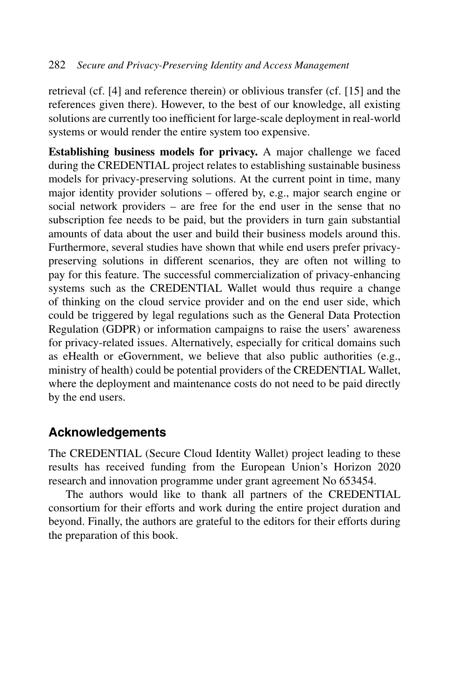retrieval (cf. [4] and reference therein) or oblivious transfer (cf. [15] and the references given there). However, to the best of our knowledge, all existing solutions are currently too inefficient for large-scale deployment in real-world systems or would render the entire system too expensive.

**Establishing business models for privacy.** A major challenge we faced during the CREDENTIAL project relates to establishing sustainable business models for privacy-preserving solutions. At the current point in time, many major identity provider solutions – offered by, e.g., major search engine or social network providers – are free for the end user in the sense that no subscription fee needs to be paid, but the providers in turn gain substantial amounts of data about the user and build their business models around this. Furthermore, several studies have shown that while end users prefer privacypreserving solutions in different scenarios, they are often not willing to pay for this feature. The successful commercialization of privacy-enhancing systems such as the CREDENTIAL Wallet would thus require a change of thinking on the cloud service provider and on the end user side, which could be triggered by legal regulations such as the General Data Protection Regulation (GDPR) or information campaigns to raise the users' awareness for privacy-related issues. Alternatively, especially for critical domains such as eHealth or eGovernment, we believe that also public authorities (e.g., ministry of health) could be potential providers of the CREDENTIAL Wallet, where the deployment and maintenance costs do not need to be paid directly by the end users.

## **Acknowledgements**

The CREDENTIAL (Secure Cloud Identity Wallet) project leading to these results has received funding from the European Union's Horizon 2020 research and innovation programme under grant agreement No 653454.

The authors would like to thank all partners of the CREDENTIAL consortium for their efforts and work during the entire project duration and beyond. Finally, the authors are grateful to the editors for their efforts during the preparation of this book.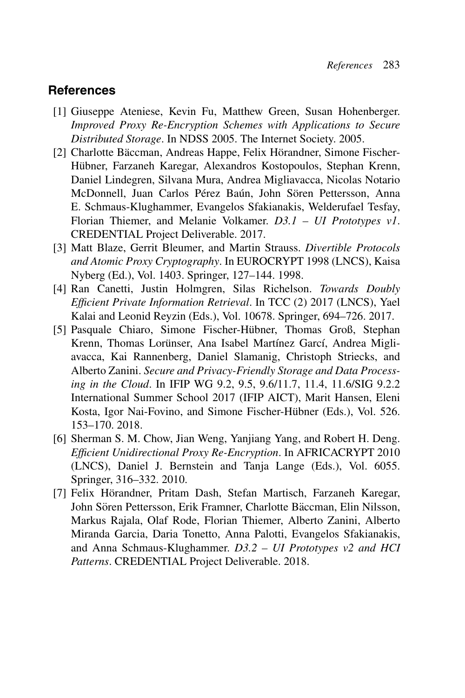#### **References**

- [1] Giuseppe Ateniese, Kevin Fu, Matthew Green, Susan Hohenberger. *Improved Proxy Re-Encryption Schemes with Applications to Secure Distributed Storage*. In NDSS 2005. The Internet Society. 2005.
- [2] Charlotte Bäccman, Andreas Happe, Felix Hörandner, Simone Fischer-Hübner, Farzaneh Karegar, Alexandros Kostopoulos, Stephan Krenn, Daniel Lindegren, Silvana Mura, Andrea Migliavacca, Nicolas Notario McDonnell, Juan Carlos Pérez Baún, John Sören Pettersson, Anna E. Schmaus-Klughammer, Evangelos Sfakianakis, Welderufael Tesfay, Florian Thiemer, and Melanie Volkamer. *D3.1 – UI Prototypes v1*. CREDENTIAL Project Deliverable. 2017.
- [3] Matt Blaze, Gerrit Bleumer, and Martin Strauss. *Divertible Protocols and Atomic Proxy Cryptography*. In EUROCRYPT 1998 (LNCS), Kaisa Nyberg (Ed.), Vol. 1403. Springer, 127–144. 1998.
- [4] Ran Canetti, Justin Holmgren, Silas Richelson. *Towards Doubly Efficient Private Information Retrieval*. In TCC (2) 2017 (LNCS), Yael Kalai and Leonid Reyzin (Eds.), Vol. 10678. Springer, 694–726. 2017.
- [5] Pasquale Chiaro, Simone Fischer-Hübner, Thomas Groß, Stephan Krenn, Thomas Lorünser, Ana Isabel Martínez Garcí, Andrea Migliavacca, Kai Rannenberg, Daniel Slamanig, Christoph Striecks, and Alberto Zanini. *Secure and Privacy-Friendly Storage and Data Processing in the Cloud*. In IFIP WG 9.2, 9.5, 9.6/11.7, 11.4, 11.6/SIG 9.2.2 International Summer School 2017 (IFIP AICT), Marit Hansen, Eleni Kosta, Igor Nai-Fovino, and Simone Fischer-Hübner (Eds.), Vol. 526. 153–170. 2018.
- [6] Sherman S. M. Chow, Jian Weng, Yanjiang Yang, and Robert H. Deng. *Efficient Unidirectional Proxy Re-Encryption*. In AFRICACRYPT 2010 (LNCS), Daniel J. Bernstein and Tanja Lange (Eds.), Vol. 6055. Springer, 316–332. 2010.
- [7] Felix Hörandner, Pritam Dash, Stefan Martisch, Farzaneh Karegar, John Sören Pettersson, Erik Framner, Charlotte Bäccman, Elin Nilsson, Markus Rajala, Olaf Rode, Florian Thiemer, Alberto Zanini, Alberto Miranda Garcia, Daria Tonetto, Anna Palotti, Evangelos Sfakianakis, and Anna Schmaus-Klughammer. *D3.2 – UI Prototypes v2 and HCI Patterns*. CREDENTIAL Project Deliverable. 2018.